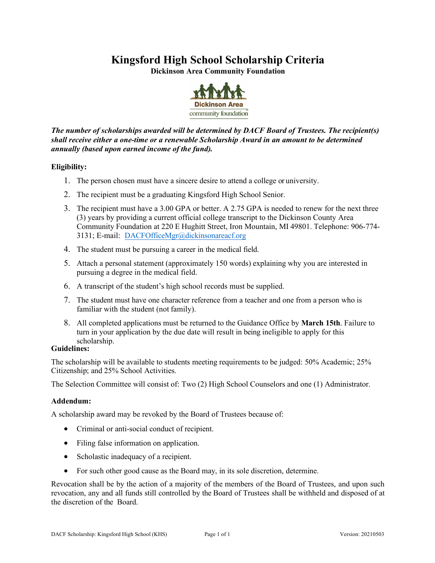## **Kingsford High School Scholarship Criteria**

**Dickinson Area Community Foundation**



*The number of scholarships awarded will be determined by DACF Board of Trustees. The recipient(s) shall receive either a one-time or a renewable Scholarship Award in an amount to be determined annually (based upon earned income of the fund).*

### **Eligibility:**

- 1. The person chosen must have a sincere desire to attend a college or university.
- 2. The recipient must be a graduating Kingsford High School Senior.
- 3. The recipient must have a 3.00 GPA or better. A 2.75 GPA is needed to renew for the next three (3) years by providing a current official college transcript to the Dickinson County Area Community Foundation at 220 E Hughitt Street, Iron Mountain, MI 49801. Telephone: 906-774- 3131; E-mail: DACFOfficeMgr@d[ickinsonareacf.org](mailto:DACFOfficeMgr@dickinsonareacf.org)
- 4. The student must be pursuing a career in the medical field.
- 5. Attach a personal statement (approximately 150 words) explaining why you are interested in pursuing a degree in the medical field.
- 6. A transcript of the student's high school records must be supplied.
- 7. The student must have one character reference from a teacher and one from a person who is familiar with the student (not family).
- 8. All completed applications must be returned to the Guidance Office by **March 15th**. Failure to turn in your application by the due date will result in being ineligible to apply for this scholarship.

#### **Guidelines:**

The scholarship will be available to students meeting requirements to be judged: 50% Academic; 25% Citizenship; and 25% School Activities.

The Selection Committee will consist of: Two (2) High School Counselors and one (1) Administrator.

### **Addendum:**

A scholarship award may be revoked by the Board of Trustees because of:

- Criminal or anti-social conduct of recipient.
- Filing false information on application.
- Scholastic inadequacy of a recipient.
- For such other good cause as the Board may, in its sole discretion, determine.

Revocation shall be by the action of a majority of the members of the Board of Trustees, and upon such revocation, any and all funds still controlled by the Board of Trustees shall be withheld and disposed of at the discretion of the Board.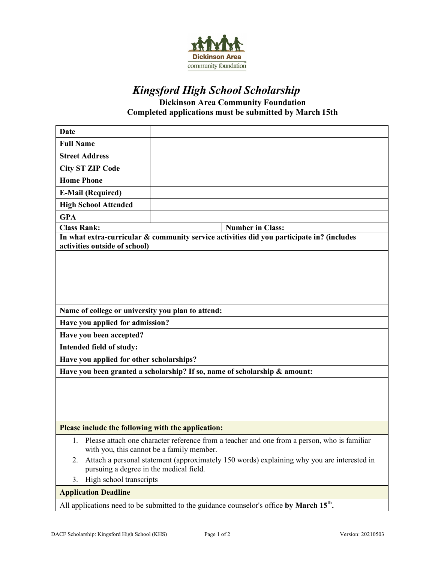

# *Kingsford High School Scholarship*

**Dickinson Area Community Foundation Completed applications must be submitted by March 15th** 

| <b>Date</b>                                                                                                                                 |                                                                                            |  |  |  |
|---------------------------------------------------------------------------------------------------------------------------------------------|--------------------------------------------------------------------------------------------|--|--|--|
| <b>Full Name</b>                                                                                                                            |                                                                                            |  |  |  |
| <b>Street Address</b>                                                                                                                       |                                                                                            |  |  |  |
| <b>City ST ZIP Code</b>                                                                                                                     |                                                                                            |  |  |  |
| <b>Home Phone</b>                                                                                                                           |                                                                                            |  |  |  |
| <b>E-Mail (Required)</b>                                                                                                                    |                                                                                            |  |  |  |
| <b>High School Attended</b>                                                                                                                 |                                                                                            |  |  |  |
| <b>GPA</b>                                                                                                                                  |                                                                                            |  |  |  |
| <b>Class Rank:</b>                                                                                                                          | <b>Number in Class:</b>                                                                    |  |  |  |
| In what extra-curricular & community service activities did you participate in? (includes<br>activities outside of school)                  |                                                                                            |  |  |  |
|                                                                                                                                             |                                                                                            |  |  |  |
|                                                                                                                                             |                                                                                            |  |  |  |
|                                                                                                                                             |                                                                                            |  |  |  |
|                                                                                                                                             |                                                                                            |  |  |  |
|                                                                                                                                             |                                                                                            |  |  |  |
| Name of college or university you plan to attend:                                                                                           |                                                                                            |  |  |  |
| Have you applied for admission?                                                                                                             |                                                                                            |  |  |  |
| Have you been accepted?                                                                                                                     |                                                                                            |  |  |  |
| Intended field of study:                                                                                                                    |                                                                                            |  |  |  |
| Have you applied for other scholarships?                                                                                                    |                                                                                            |  |  |  |
| Have you been granted a scholarship? If so, name of scholarship & amount:                                                                   |                                                                                            |  |  |  |
|                                                                                                                                             |                                                                                            |  |  |  |
|                                                                                                                                             |                                                                                            |  |  |  |
|                                                                                                                                             |                                                                                            |  |  |  |
|                                                                                                                                             |                                                                                            |  |  |  |
| Please include the following with the application:                                                                                          |                                                                                            |  |  |  |
| 1. Please attach one character reference from a teacher and one from a person, who is familiar<br>with you, this cannot be a family member. |                                                                                            |  |  |  |
| 2.<br>pursuing a degree in the medical field.                                                                                               | Attach a personal statement (approximately 150 words) explaining why you are interested in |  |  |  |
| High school transcripts<br>3.                                                                                                               |                                                                                            |  |  |  |
| <b>Application Deadline</b>                                                                                                                 |                                                                                            |  |  |  |
| All applications need to be submitted to the guidance counselor's office by March 15 <sup>th</sup> .                                        |                                                                                            |  |  |  |